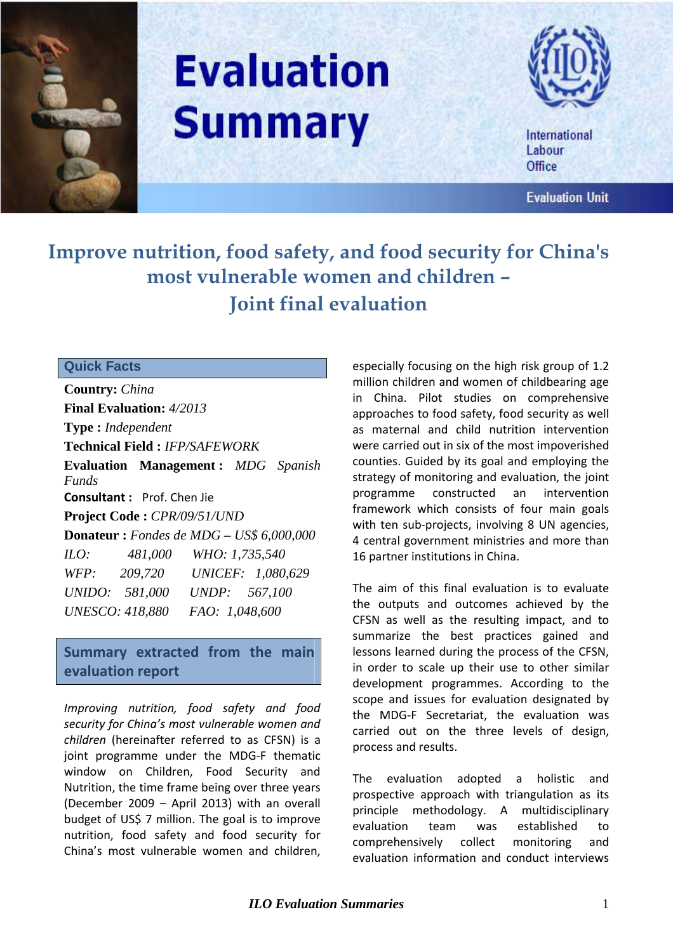

# **Evaluation Summary**



International Labour Office

**Evaluation Unit** 

## **Improve nutrition, food safety, and food security for China's most vulnerable women and children – Joint final evaluation**

### **Quick Facts**

**Country:** *China* **Final Evaluation:** *4/2013* **Type :** *Independent* **Technical Field :** *IFP/SAFEWORK* **Evaluation Management :** *MDG Spanish Funds* **Consultant :** Prof. Chen Jie **Project Code :** *CPR/09/51/UND* **Donateur :** *Fondes de MDG – US\$ 6,000,000 ILO: 481,000 WHO: 1,735,540 WFP: 209,720 UNICEF: 1,080,629 UNIDO: 581,000 UNDP: 567,100 UNESCO: 418,880 FAO: 1,048,600* 

**Summary extracted from the main evaluation report** 

*Improving nutrition, food safety and food security for China's most vulnerable women and children* (hereinafter referred to as CFSN) is a joint programme under the MDG-F thematic window on Children, Food Security and Nutrition, the time frame being over three years (December 2009 – April 2013) with an overall budget of US\$ 7 million. The goal is to improve nutrition, food safety and food security for China's most vulnerable women and children, especially focusing on the high risk group of 1.2 million children and women of childbearing age in China. Pilot studies on comprehensive approaches to food safety, food security as well as maternal and child nutrition intervention were carried out in six of the most impoverished counties. Guided by its goal and employing the strategy of monitoring and evaluation, the joint programme constructed an intervention framework which consists of four main goals with ten sub-projects, involving 8 UN agencies, 4 central government ministries and more than 16 partner institutions in China.

The aim of this final evaluation is to evaluate the outputs and outcomes achieved by the CFSN as well as the resulting impact, and to summarize the best practices gained and lessons learned during the process of the CFSN, in order to scale up their use to other similar development programmes. According to the scope and issues for evaluation designated by the MDG-F Secretariat, the evaluation was carried out on the three levels of design, process and results.

The evaluation adopted a holistic and prospective approach with triangulation as its principle methodology. A multidisciplinary evaluation team was established to comprehensively collect monitoring and evaluation information and conduct interviews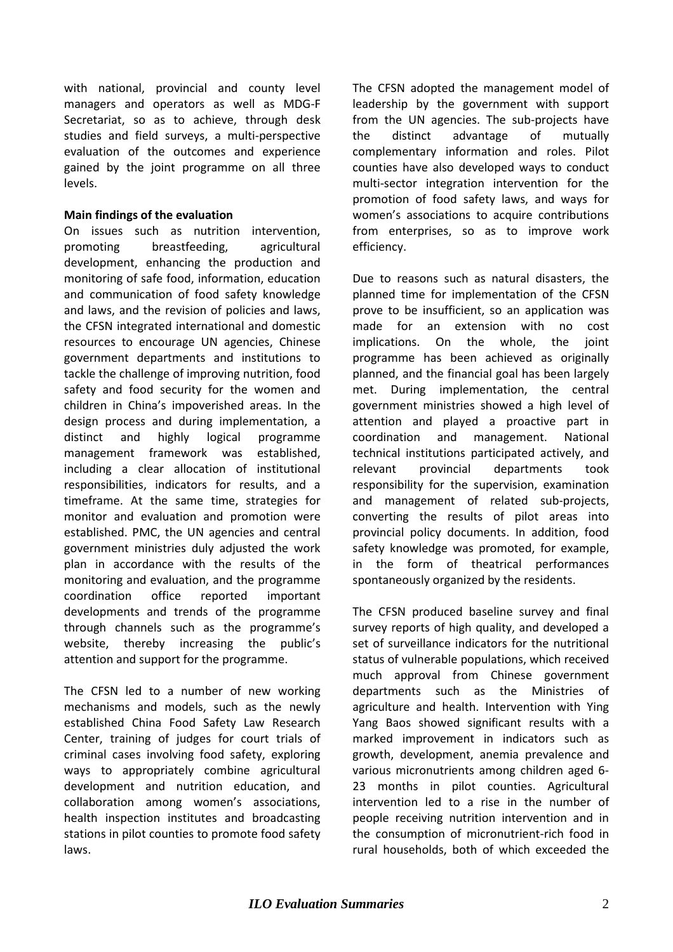with national, provincial and county level managers and operators as well as MDG-F Secretariat, so as to achieve, through desk studies and field surveys, a multi-perspective evaluation of the outcomes and experience gained by the joint programme on all three levels.

#### **Main findings of the evaluation**

On issues such as nutrition intervention, promoting breastfeeding, agricultural development, enhancing the production and monitoring of safe food, information, education and communication of food safety knowledge and laws, and the revision of policies and laws, the CFSN integrated international and domestic resources to encourage UN agencies, Chinese government departments and institutions to tackle the challenge of improving nutrition, food safety and food security for the women and children in China's impoverished areas. In the design process and during implementation, a distinct and highly logical programme management framework was established, including a clear allocation of institutional responsibilities, indicators for results, and a timeframe. At the same time, strategies for monitor and evaluation and promotion were established. PMC, the UN agencies and central government ministries duly adjusted the work plan in accordance with the results of the monitoring and evaluation, and the programme coordination office reported important developments and trends of the programme through channels such as the programme's website, thereby increasing the public's attention and support for the programme.

The CFSN led to a number of new working mechanisms and models, such as the newly established China Food Safety Law Research Center, training of judges for court trials of criminal cases involving food safety, exploring ways to appropriately combine agricultural development and nutrition education, and collaboration among women's associations, health inspection institutes and broadcasting stations in pilot counties to promote food safety laws.

The CFSN adopted the management model of leadership by the government with support from the UN agencies. The sub-projects have the distinct advantage of mutually complementary information and roles. Pilot counties have also developed ways to conduct multi-sector integration intervention for the promotion of food safety laws, and ways for women's associations to acquire contributions from enterprises, so as to improve work efficiency.

Due to reasons such as natural disasters, the planned time for implementation of the CFSN prove to be insufficient, so an application was made for an extension with no cost implications. On the whole, the joint programme has been achieved as originally planned, and the financial goal has been largely met. During implementation, the central government ministries showed a high level of attention and played a proactive part in coordination and management. National technical institutions participated actively, and relevant provincial departments took responsibility for the supervision, examination and management of related sub-projects, converting the results of pilot areas into provincial policy documents. In addition, food safety knowledge was promoted, for example, in the form of theatrical performances spontaneously organized by the residents.

The CFSN produced baseline survey and final survey reports of high quality, and developed a set of surveillance indicators for the nutritional status of vulnerable populations, which received much approval from Chinese government departments such as the Ministries of agriculture and health. Intervention with Ying Yang Baos showed significant results with a marked improvement in indicators such as growth, development, anemia prevalence and various micronutrients among children aged 6- 23 months in pilot counties. Agricultural intervention led to a rise in the number of people receiving nutrition intervention and in the consumption of micronutrient-rich food in rural households, both of which exceeded the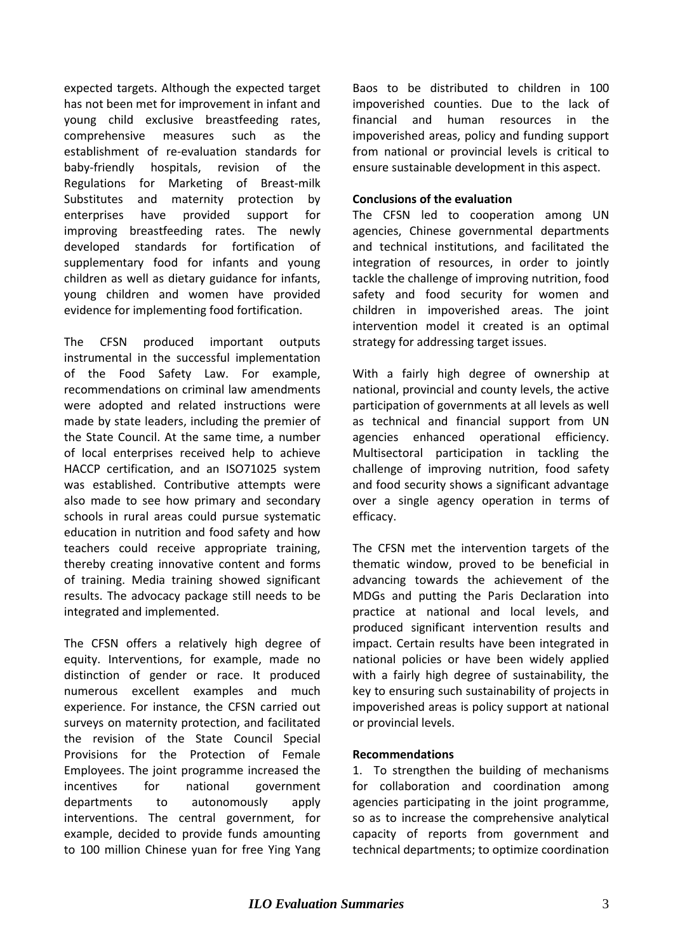expected targets. Although the expected target has not been met for improvement in infant and young child exclusive breastfeeding rates, comprehensive measures such as the establishment of re-evaluation standards for baby-friendly hospitals, revision of the Regulations for Marketing of Breast-milk Substitutes and maternity protection by enterprises have provided support for improving breastfeeding rates. The newly developed standards for fortification of supplementary food for infants and young children as well as dietary guidance for infants, young children and women have provided evidence for implementing food fortification.

The CFSN produced important outputs instrumental in the successful implementation of the Food Safety Law. For example, recommendations on criminal law amendments were adopted and related instructions were made by state leaders, including the premier of the State Council. At the same time, a number of local enterprises received help to achieve HACCP certification, and an ISO71025 system was established. Contributive attempts were also made to see how primary and secondary schools in rural areas could pursue systematic education in nutrition and food safety and how teachers could receive appropriate training, thereby creating innovative content and forms of training. Media training showed significant results. The advocacy package still needs to be integrated and implemented.

The CFSN offers a relatively high degree of equity. Interventions, for example, made no distinction of gender or race. It produced numerous excellent examples and much experience. For instance, the CFSN carried out surveys on maternity protection, and facilitated the revision of the State Council Special Provisions for the Protection of Female Employees. The joint programme increased the incentives for national government departments to autonomously apply interventions. The central government, for example, decided to provide funds amounting to 100 million Chinese yuan for free Ying Yang

Baos to be distributed to children in 100 impoverished counties. Due to the lack of financial and human resources in the impoverished areas, policy and funding support from national or provincial levels is critical to ensure sustainable development in this aspect.

#### **Conclusions of the evaluation**

The CFSN led to cooperation among UN agencies, Chinese governmental departments and technical institutions, and facilitated the integration of resources, in order to jointly tackle the challenge of improving nutrition, food safety and food security for women and children in impoverished areas. The joint intervention model it created is an optimal strategy for addressing target issues.

With a fairly high degree of ownership at national, provincial and county levels, the active participation of governments at all levels as well as technical and financial support from UN agencies enhanced operational efficiency. Multisectoral participation in tackling the challenge of improving nutrition, food safety and food security shows a significant advantage over a single agency operation in terms of efficacy.

The CFSN met the intervention targets of the thematic window, proved to be beneficial in advancing towards the achievement of the MDGs and putting the Paris Declaration into practice at national and local levels, and produced significant intervention results and impact. Certain results have been integrated in national policies or have been widely applied with a fairly high degree of sustainability, the key to ensuring such sustainability of projects in impoverished areas is policy support at national or provincial levels.

#### **Recommendations**

1. To strengthen the building of mechanisms for collaboration and coordination among agencies participating in the joint programme, so as to increase the comprehensive analytical capacity of reports from government and technical departments; to optimize coordination